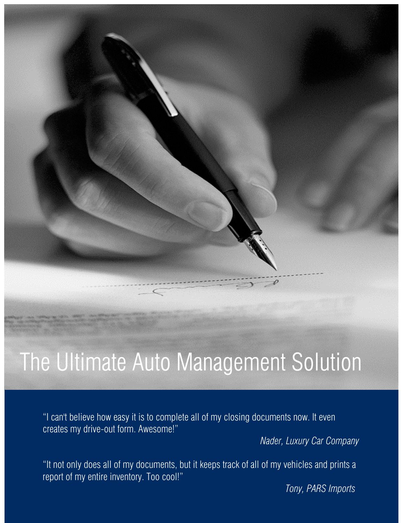# The Ultimate Auto Management Solution

"I can't believe how easy it is to complete all of my closing documents now. It even creates my drive-out form. Awesome!"

 *Nader, Luxury Car Company*

"It not only does all of my documents, but it keeps track of all of my vehicles and prints a report of my entire inventory. Too cool!"

*Tony, PARS Imports*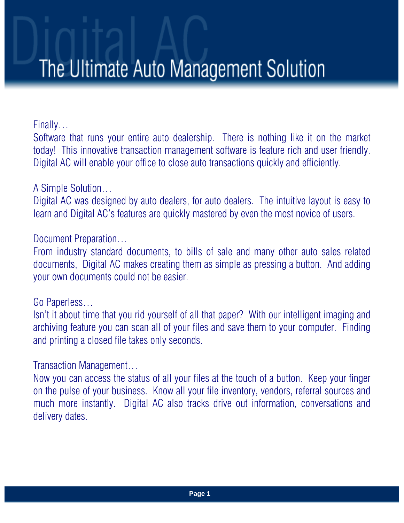## The Ultimate Auto Management Solution

Finally…

Software that runs your entire auto dealership. There is nothing like it on the market today! This innovative transaction management software is feature rich and user friendly. Digital AC will enable your office to close auto transactions quickly and efficiently.

#### A Simple Solution…

Digital AC was designed by auto dealers, for auto dealers. The intuitive layout is easy to learn and Digital AC's features are quickly mastered by even the most novice of users.

#### Document Preparation…

From industry standard documents, to bills of sale and many other auto sales related documents, Digital AC makes creating them as simple as pressing a button. And adding your own documents could not be easier.

#### Go Paperless…

Isn't it about time that you rid yourself of all that paper? With our intelligent imaging and archiving feature you can scan all of your files and save them to your computer. Finding and printing a closed file takes only seconds.

#### Transaction Management…

Now you can access the status of all your files at the touch of a button. Keep your finger on the pulse of your business. Know all your file inventory, vendors, referral sources and much more instantly. Digital AC also tracks drive out information, conversations and delivery dates.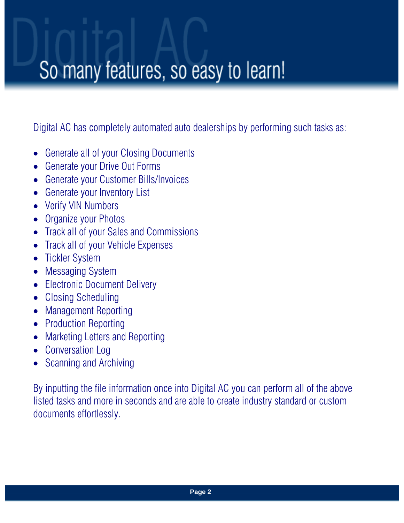### So many features, so easy to learn!

Digital AC has completely automated auto dealerships by performing such tasks as:

- Generate all of your Closing Documents
- Generate your Drive Out Forms
- Generate your Customer Bills/Invoices
- Generate your Inventory List
- Verify VIN Numbers
- Organize your Photos
- Track all of your Sales and Commissions
- Track all of your Vehicle Expenses
- Tickler System
- Messaging System
- Electronic Document Delivery
- Closing Scheduling
- Management Reporting
- Production Reporting
- Marketing Letters and Reporting
- Conversation Log
- Scanning and Archiving

By inputting the file information once into Digital AC you can perform all of the above listed tasks and more in seconds and are able to create industry standard or custom documents effortlessly.